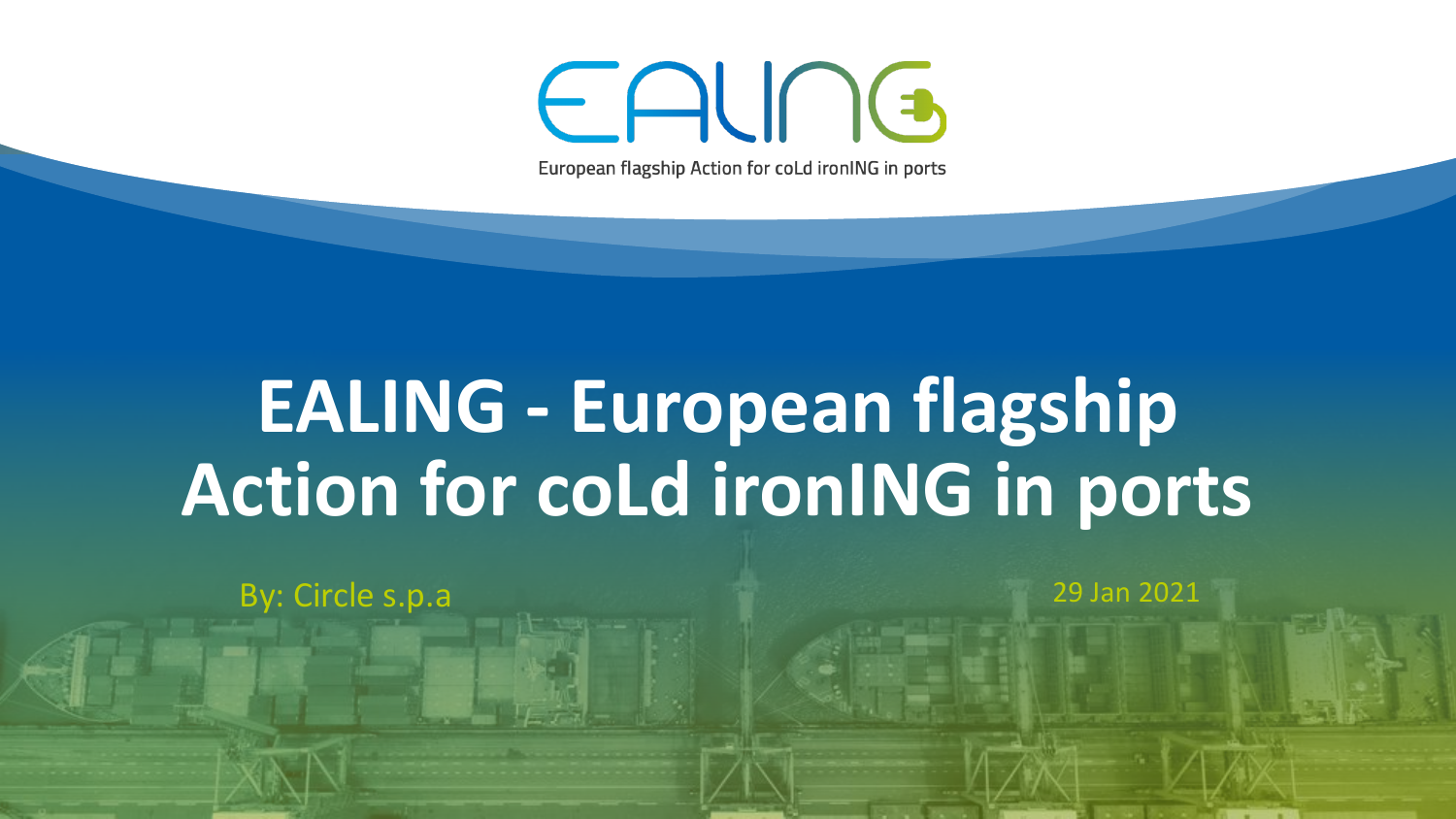## EALING

European flagship Action for coLd ironING in ports

## **EALING - European flagship Action for coLd ironING in ports**

By: Circle s.p.a 2021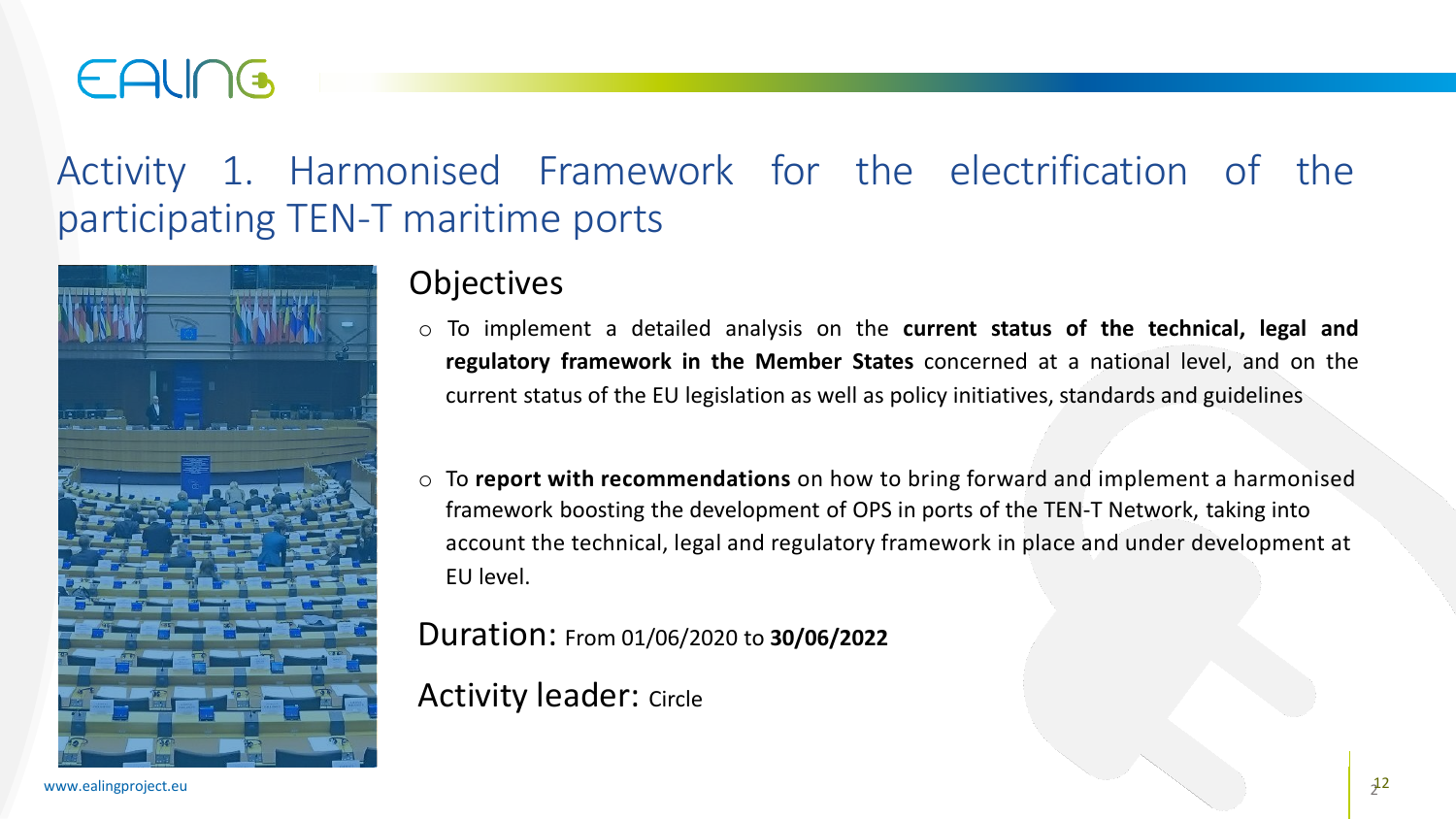### EAUNG

### Activity 1. Harmonised Framework for the electrification of the participating TEN-T maritime ports



### **Objectives**

- o To implement a detailed analysis on the **current status of the technical, legal and regulatory framework in the Member States** concerned at a national level, and on the current status of the EU legislation as well as policy initiatives, standards and guidelines
- o To **report with recommendations** on how to bring forward and implement a harmonised framework boosting the development of OPS in ports of the TEN-T Network, taking into account the technical, legal and regulatory framework in place and under development at EU level.

Duration: From 01/06/2020 to **30/06/2022**

Activity leader: Circle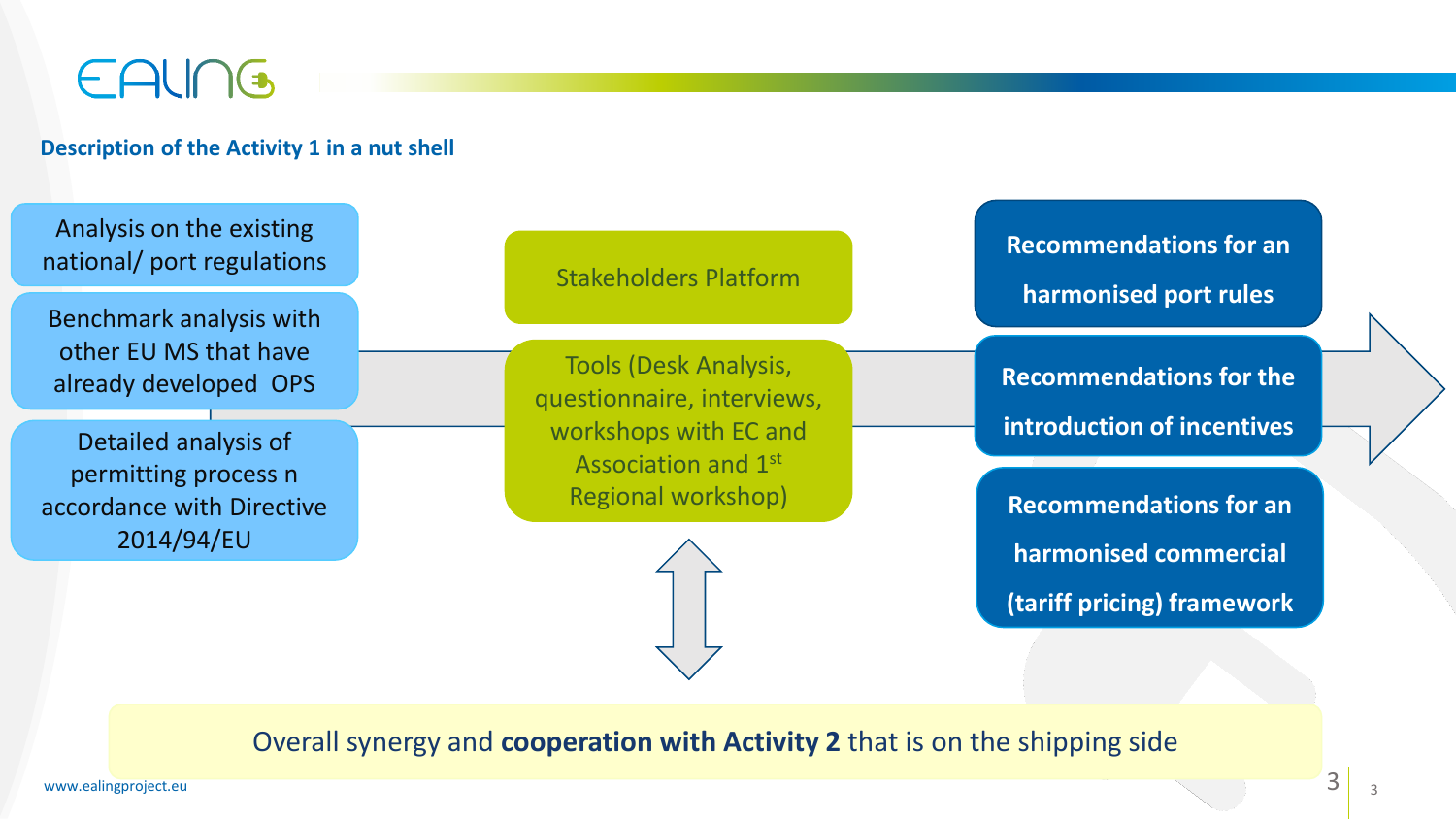### EALING

#### **Description of the Activity 1 in a nut shell**

Analysis on the existing national/ port regulations

Benchmark analysis with other EU MS that have already developed OPS

Detailed analysis of permitting process n accordance with Directive 2014/94/EU

Stakeholders Platform

Tools (Desk Analysis, questionnaire, interviews, workshops with EC and Association and 1st Regional workshop)

**Recommendations for an harmonised port rules** 

**Recommendations for the introduction of incentives** 

**Recommendations for an harmonised commercial (tariff pricing) framework** 

Overall synergy and **cooperation with Activity 2** that is on the shipping side

www.ealingproject.eu **3** 3

3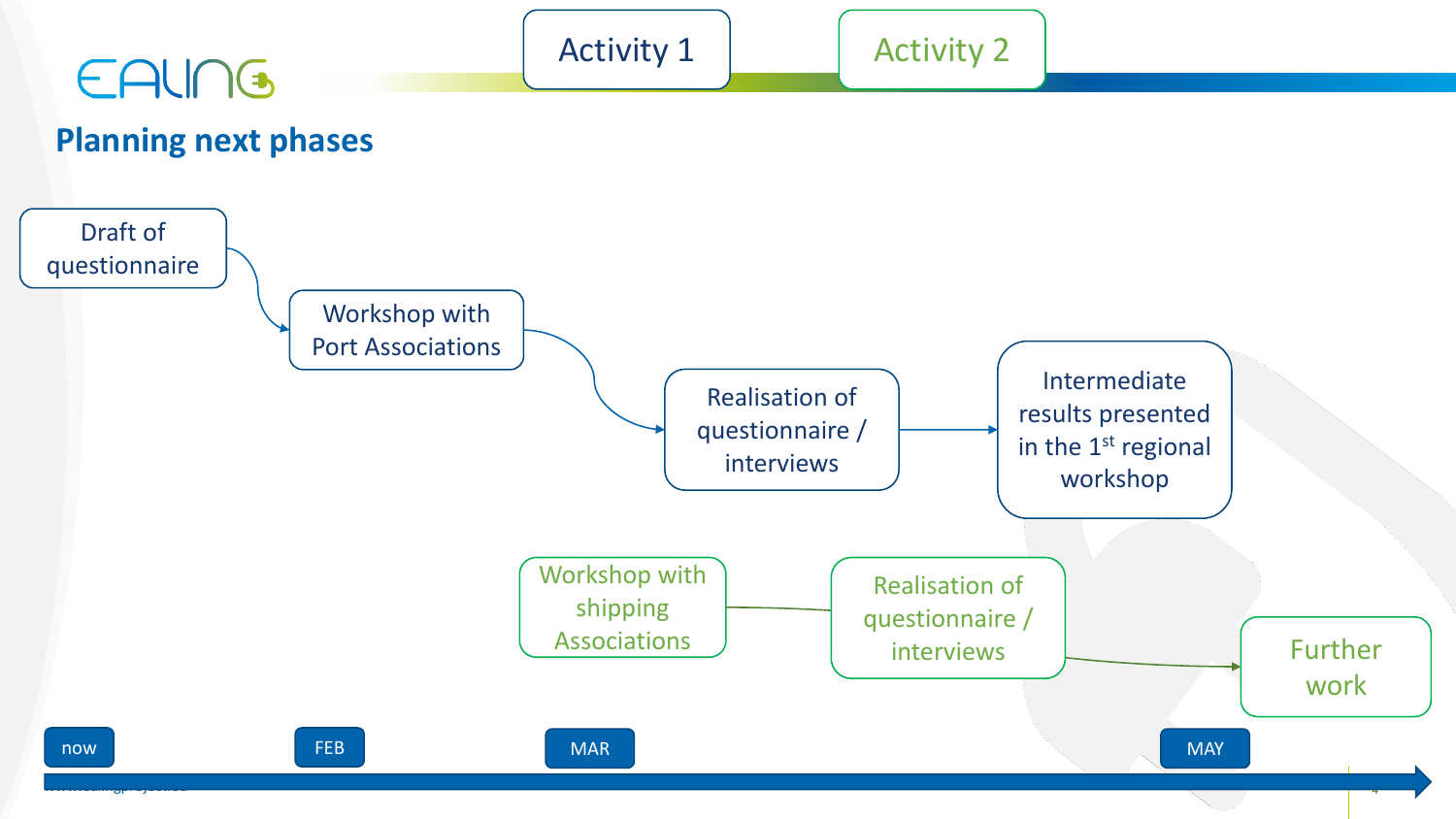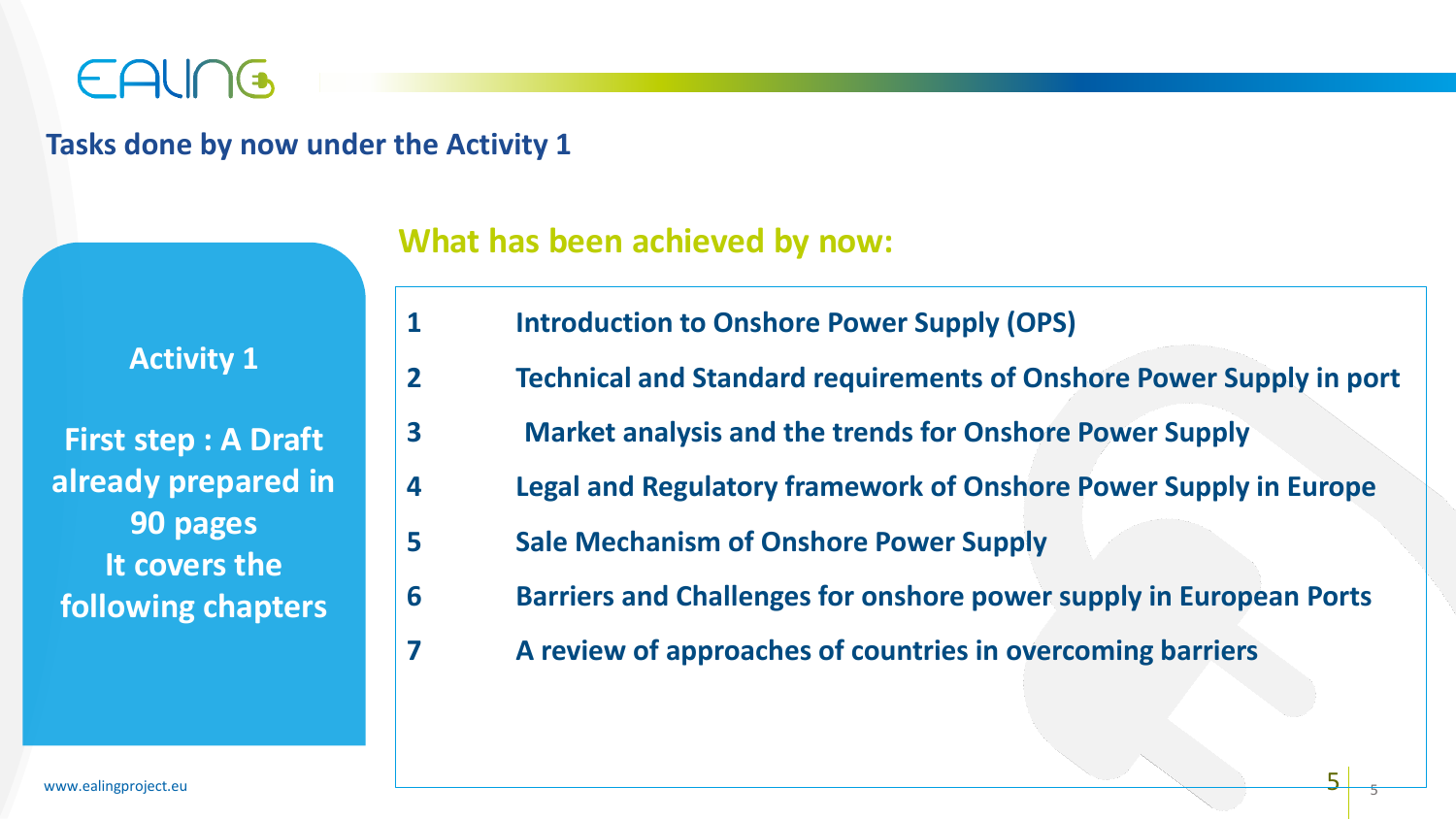

#### **Tasks done by now under the Activity 1**

| <b>Activity 1</b>                                 |
|---------------------------------------------------|
| <b>First step: A Draft</b><br>already prepared in |
| 90 pages                                          |
| It covers the<br>following chapters               |

#### **What has been achieved by now:**

- **1 Introduction to Onshore Power Supply (OPS)**
- **2 Technical and Standard requirements of Onshore Power Supply in port**
- **3 Market analysis and the trends for Onshore Power Supply**
- **4 Legal and Regulatory framework of Onshore Power Supply in Europe**
- **5 Sale Mechanism of Onshore Power Supply**
- **6 Barriers and Challenges for onshore power supply in European Ports**
- **7 A review of approaches of countries in overcoming barriers**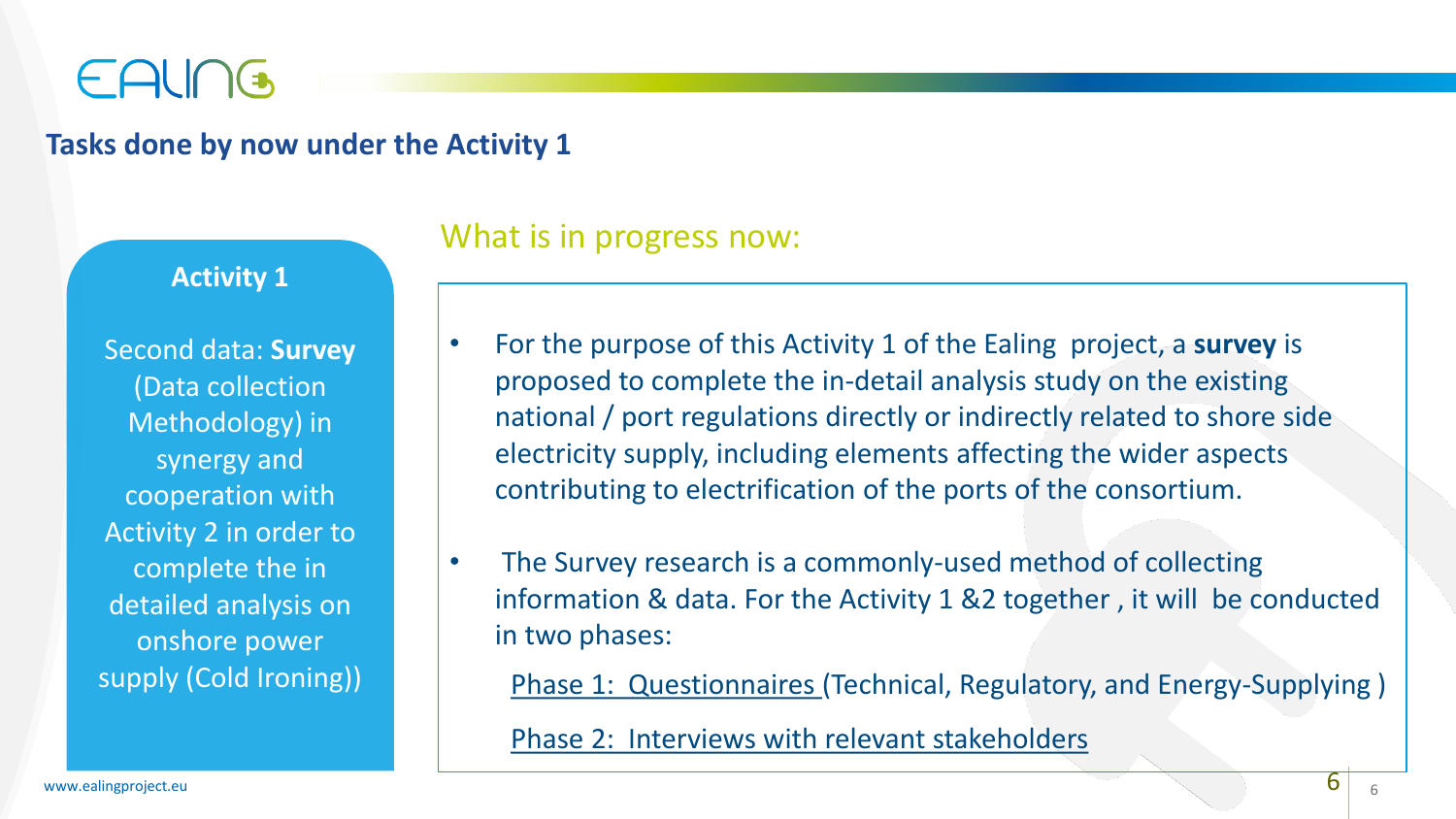### EALING

### **Tasks done by now under the Activity 1**

#### **Activity 1**

Second data: **Survey** (Data collection Methodology) in synergy and cooperation with Activity 2 in order to complete the in detailed analysis on onshore power supply (Cold Ironing))

### What is in progress now:

- For the purpose of this Activity 1 of the Ealing project, a **survey** is proposed to complete the in-detail analysis study on the existing national / port regulations directly or indirectly related to shore side electricity supply, including elements affecting the wider aspects contributing to electrification of the ports of the consortium.
- The Survey research is a commonly-used method of collecting information & data. For the Activity 1 &2 together , it will be conducted in two phases:

Phase 1: Questionnaires (Technical, Regulatory, and Energy-Supplying )

Phase 2: Interviews with relevant stakeholders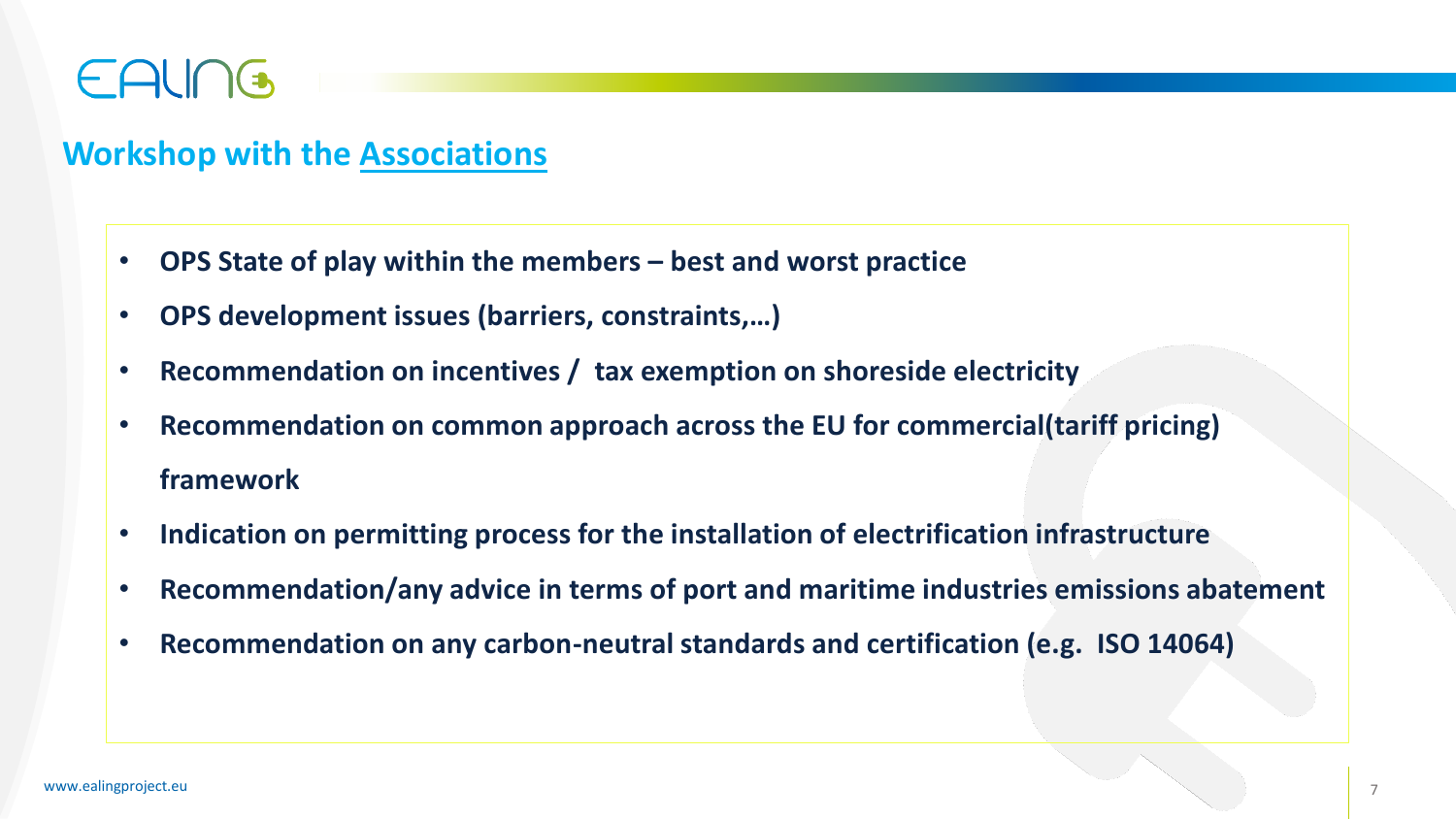### EAUNG

### **Workshop with the Associations**

- **OPS State of play within the members – best and worst practice**
- **OPS development issues (barriers, constraints,…)**
- **Recommendation on incentives / tax exemption on shoreside electricity**
- **Recommendation on common approach across the EU for commercial(tariff pricing) framework**
- **Indication on permitting process for the installation of electrification infrastructure**
- **Recommendation/any advice in terms of port and maritime industries emissions abatement**
- **Recommendation on any carbon-neutral standards and certification (e.g. ISO 14064)**